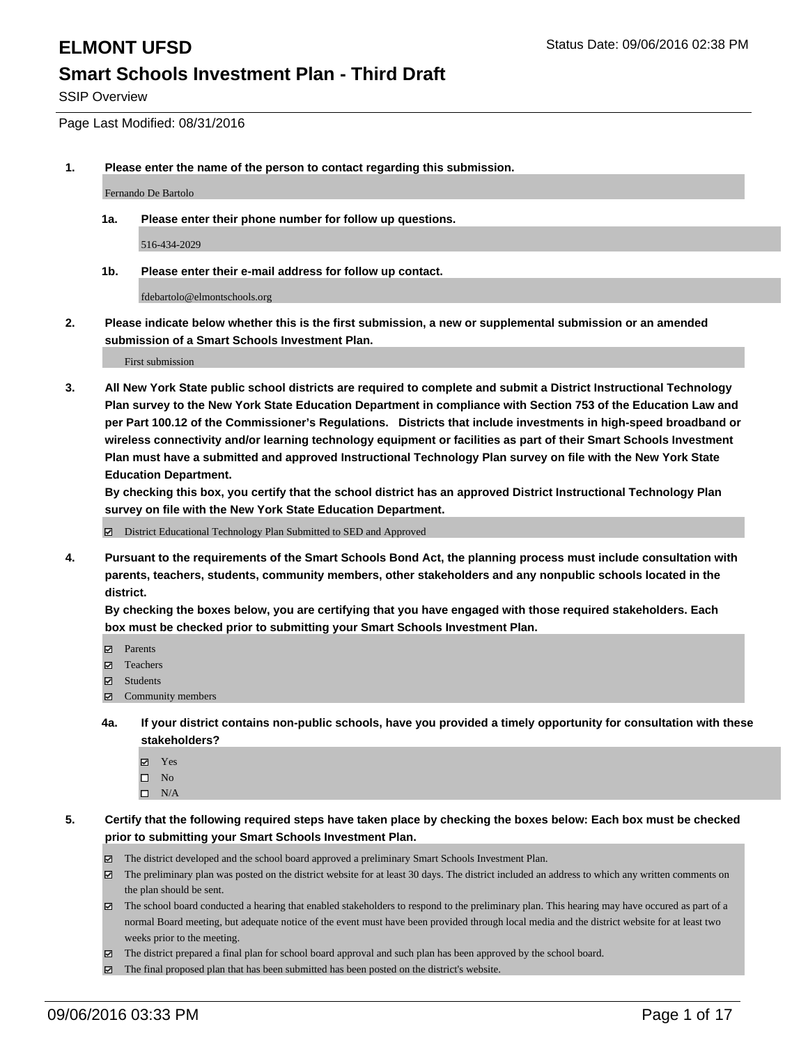SSIP Overview

Page Last Modified: 08/31/2016

**1. Please enter the name of the person to contact regarding this submission.**

Fernando De Bartolo

**1a. Please enter their phone number for follow up questions.**

516-434-2029

**1b. Please enter their e-mail address for follow up contact.**

fdebartolo@elmontschools.org

**2. Please indicate below whether this is the first submission, a new or supplemental submission or an amended submission of a Smart Schools Investment Plan.**

First submission

**3. All New York State public school districts are required to complete and submit a District Instructional Technology Plan survey to the New York State Education Department in compliance with Section 753 of the Education Law and per Part 100.12 of the Commissioner's Regulations. Districts that include investments in high-speed broadband or wireless connectivity and/or learning technology equipment or facilities as part of their Smart Schools Investment Plan must have a submitted and approved Instructional Technology Plan survey on file with the New York State Education Department.** 

**By checking this box, you certify that the school district has an approved District Instructional Technology Plan survey on file with the New York State Education Department.**

District Educational Technology Plan Submitted to SED and Approved

**4. Pursuant to the requirements of the Smart Schools Bond Act, the planning process must include consultation with parents, teachers, students, community members, other stakeholders and any nonpublic schools located in the district.** 

**By checking the boxes below, you are certifying that you have engaged with those required stakeholders. Each box must be checked prior to submitting your Smart Schools Investment Plan.**

- Parents
- Teachers
- $\boxtimes$  Students
- $\boxtimes$  Community members
- **4a. If your district contains non-public schools, have you provided a timely opportunity for consultation with these stakeholders?**
	- Yes  $\square$  No
	- $\square$  N/A
- **5. Certify that the following required steps have taken place by checking the boxes below: Each box must be checked prior to submitting your Smart Schools Investment Plan.**
	- The district developed and the school board approved a preliminary Smart Schools Investment Plan.
	- The preliminary plan was posted on the district website for at least 30 days. The district included an address to which any written comments on the plan should be sent.
	- The school board conducted a hearing that enabled stakeholders to respond to the preliminary plan. This hearing may have occured as part of a normal Board meeting, but adequate notice of the event must have been provided through local media and the district website for at least two weeks prior to the meeting.
	- The district prepared a final plan for school board approval and such plan has been approved by the school board.
	- The final proposed plan that has been submitted has been posted on the district's website.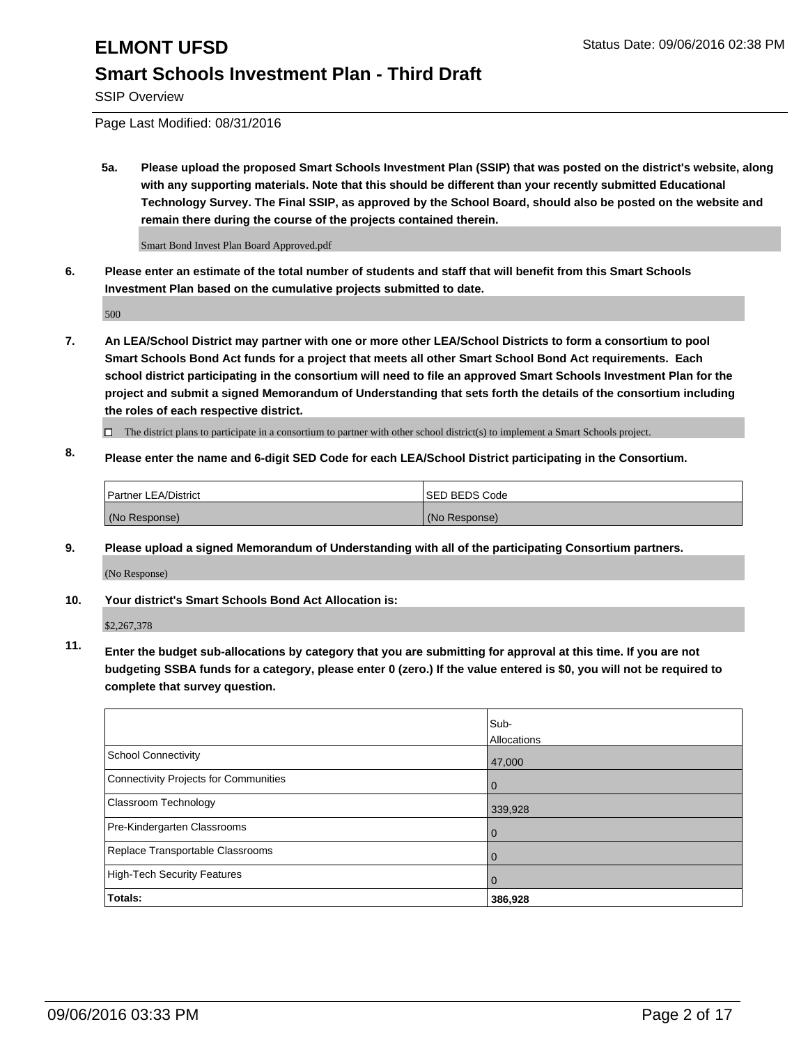SSIP Overview

Page Last Modified: 08/31/2016

**5a. Please upload the proposed Smart Schools Investment Plan (SSIP) that was posted on the district's website, along with any supporting materials. Note that this should be different than your recently submitted Educational Technology Survey. The Final SSIP, as approved by the School Board, should also be posted on the website and remain there during the course of the projects contained therein.**

Smart Bond Invest Plan Board Approved.pdf

**6. Please enter an estimate of the total number of students and staff that will benefit from this Smart Schools Investment Plan based on the cumulative projects submitted to date.**

500

- **7. An LEA/School District may partner with one or more other LEA/School Districts to form a consortium to pool Smart Schools Bond Act funds for a project that meets all other Smart School Bond Act requirements. Each school district participating in the consortium will need to file an approved Smart Schools Investment Plan for the project and submit a signed Memorandum of Understanding that sets forth the details of the consortium including the roles of each respective district.**
	- $\Box$  The district plans to participate in a consortium to partner with other school district(s) to implement a Smart Schools project.
- **8. Please enter the name and 6-digit SED Code for each LEA/School District participating in the Consortium.**

| Partner LEA/District | <b>ISED BEDS Code</b> |
|----------------------|-----------------------|
| (No Response)        | (No Response)         |

**9. Please upload a signed Memorandum of Understanding with all of the participating Consortium partners.**

(No Response)

### **10. Your district's Smart Schools Bond Act Allocation is:**

\$2,267,378

**11. Enter the budget sub-allocations by category that you are submitting for approval at this time. If you are not budgeting SSBA funds for a category, please enter 0 (zero.) If the value entered is \$0, you will not be required to complete that survey question.**

|                                       | Sub-<br>Allocations |
|---------------------------------------|---------------------|
| <b>School Connectivity</b>            | 47,000              |
| Connectivity Projects for Communities | O                   |
| <b>Classroom Technology</b>           | 339,928             |
| Pre-Kindergarten Classrooms           | O                   |
| Replace Transportable Classrooms      | 0                   |
| High-Tech Security Features           |                     |
| Totals:                               | 386,928             |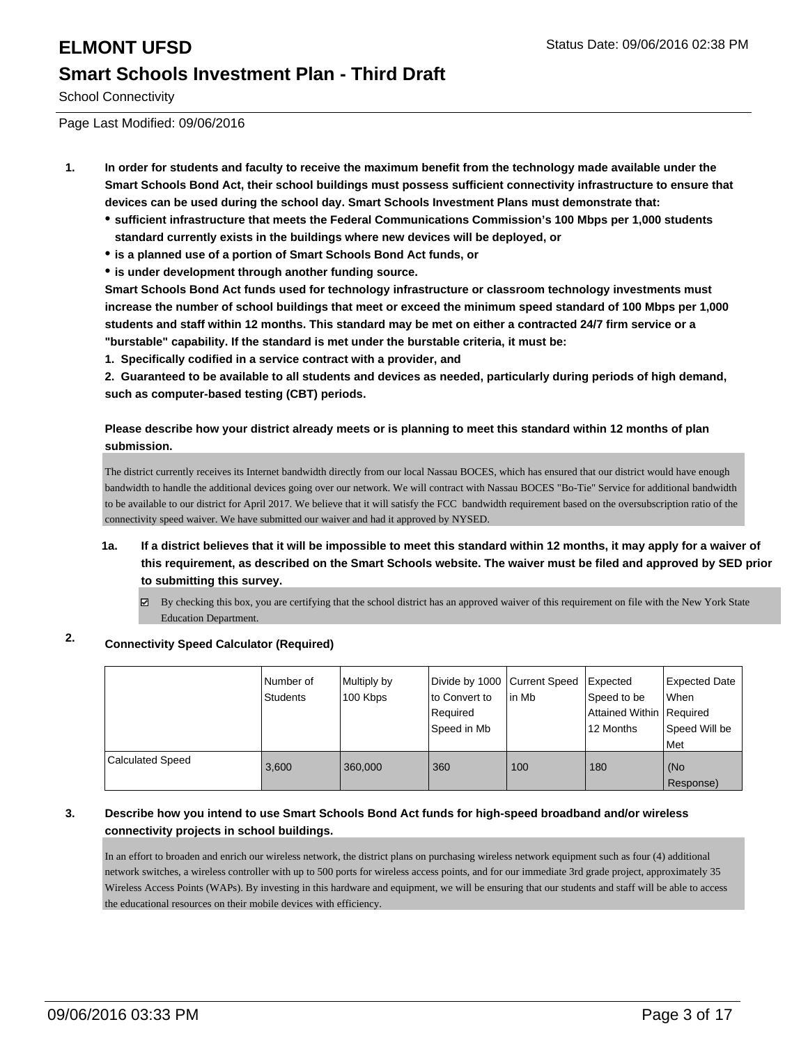School Connectivity

Page Last Modified: 09/06/2016

- **1. In order for students and faculty to receive the maximum benefit from the technology made available under the Smart Schools Bond Act, their school buildings must possess sufficient connectivity infrastructure to ensure that devices can be used during the school day. Smart Schools Investment Plans must demonstrate that:**
	- **sufficient infrastructure that meets the Federal Communications Commission's 100 Mbps per 1,000 students standard currently exists in the buildings where new devices will be deployed, or**
	- **is a planned use of a portion of Smart Schools Bond Act funds, or**
	- **is under development through another funding source.**

**Smart Schools Bond Act funds used for technology infrastructure or classroom technology investments must increase the number of school buildings that meet or exceed the minimum speed standard of 100 Mbps per 1,000 students and staff within 12 months. This standard may be met on either a contracted 24/7 firm service or a "burstable" capability. If the standard is met under the burstable criteria, it must be:**

**1. Specifically codified in a service contract with a provider, and**

**2. Guaranteed to be available to all students and devices as needed, particularly during periods of high demand, such as computer-based testing (CBT) periods.**

### **Please describe how your district already meets or is planning to meet this standard within 12 months of plan submission.**

The district currently receives its Internet bandwidth directly from our local Nassau BOCES, which has ensured that our district would have enough bandwidth to handle the additional devices going over our network. We will contract with Nassau BOCES "Bo-Tie" Service for additional bandwidth to be available to our district for April 2017. We believe that it will satisfy the FCC bandwidth requirement based on the oversubscription ratio of the connectivity speed waiver. We have submitted our waiver and had it approved by NYSED.

- **1a. If a district believes that it will be impossible to meet this standard within 12 months, it may apply for a waiver of this requirement, as described on the Smart Schools website. The waiver must be filed and approved by SED prior to submitting this survey.**
	- By checking this box, you are certifying that the school district has an approved waiver of this requirement on file with the New York State Education Department.

### **2. Connectivity Speed Calculator (Required)**

|                         | Number of<br>Students | Multiply by<br>100 Kbps | Divide by 1000 Current Speed<br>to Convert to<br>Required<br>Speed in Mb | lin Mb | Expected<br>Speed to be<br>Attained Within Required<br>l 12 Months | <b>Expected Date</b><br><b>When</b><br>Speed Will be<br><b>Met</b> |
|-------------------------|-----------------------|-------------------------|--------------------------------------------------------------------------|--------|--------------------------------------------------------------------|--------------------------------------------------------------------|
| <b>Calculated Speed</b> | 3,600                 | 360,000                 | 360                                                                      | 100    | 180                                                                | (No<br>Response)                                                   |

### **3. Describe how you intend to use Smart Schools Bond Act funds for high-speed broadband and/or wireless connectivity projects in school buildings.**

In an effort to broaden and enrich our wireless network, the district plans on purchasing wireless network equipment such as four (4) additional network switches, a wireless controller with up to 500 ports for wireless access points, and for our immediate 3rd grade project, approximately 35 Wireless Access Points (WAPs). By investing in this hardware and equipment, we will be ensuring that our students and staff will be able to access the educational resources on their mobile devices with efficiency.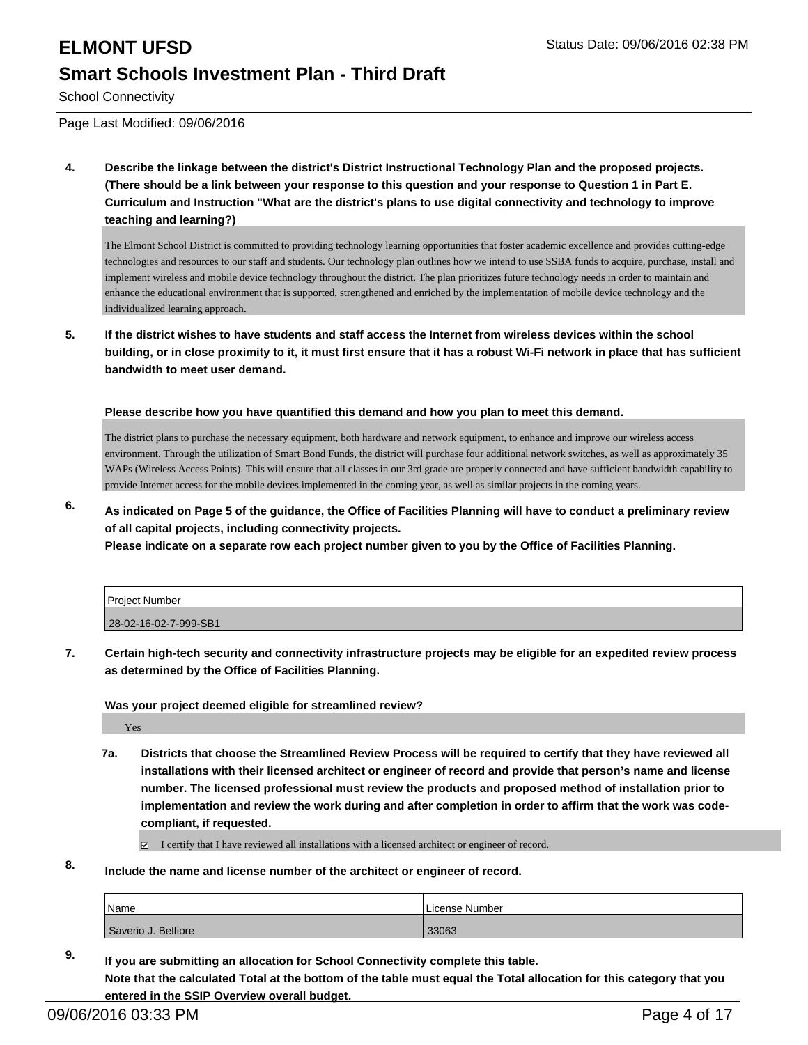School Connectivity

Page Last Modified: 09/06/2016

**4. Describe the linkage between the district's District Instructional Technology Plan and the proposed projects. (There should be a link between your response to this question and your response to Question 1 in Part E. Curriculum and Instruction "What are the district's plans to use digital connectivity and technology to improve teaching and learning?)**

The Elmont School District is committed to providing technology learning opportunities that foster academic excellence and provides cutting-edge technologies and resources to our staff and students. Our technology plan outlines how we intend to use SSBA funds to acquire, purchase, install and implement wireless and mobile device technology throughout the district. The plan prioritizes future technology needs in order to maintain and enhance the educational environment that is supported, strengthened and enriched by the implementation of mobile device technology and the individualized learning approach.

**5. If the district wishes to have students and staff access the Internet from wireless devices within the school building, or in close proximity to it, it must first ensure that it has a robust Wi-Fi network in place that has sufficient bandwidth to meet user demand.**

**Please describe how you have quantified this demand and how you plan to meet this demand.**

The district plans to purchase the necessary equipment, both hardware and network equipment, to enhance and improve our wireless access environment. Through the utilization of Smart Bond Funds, the district will purchase four additional network switches, as well as approximately 35 WAPs (Wireless Access Points). This will ensure that all classes in our 3rd grade are properly connected and have sufficient bandwidth capability to provide Internet access for the mobile devices implemented in the coming year, as well as similar projects in the coming years.

**6. As indicated on Page 5 of the guidance, the Office of Facilities Planning will have to conduct a preliminary review of all capital projects, including connectivity projects.**

**Please indicate on a separate row each project number given to you by the Office of Facilities Planning.**

| Project Number        |  |
|-----------------------|--|
| 28-02-16-02-7-999-SB1 |  |

**7. Certain high-tech security and connectivity infrastructure projects may be eligible for an expedited review process as determined by the Office of Facilities Planning.**

**Was your project deemed eligible for streamlined review?**

Yes

**7a. Districts that choose the Streamlined Review Process will be required to certify that they have reviewed all installations with their licensed architect or engineer of record and provide that person's name and license number. The licensed professional must review the products and proposed method of installation prior to implementation and review the work during and after completion in order to affirm that the work was codecompliant, if requested.**

 $\boxtimes$  I certify that I have reviewed all installations with a licensed architect or engineer of record.

**8. Include the name and license number of the architect or engineer of record.**

| Name                | License Number |
|---------------------|----------------|
| Saverio J. Belfiore | 33063          |

**9. If you are submitting an allocation for School Connectivity complete this table. Note that the calculated Total at the bottom of the table must equal the Total allocation for this category that you entered in the SSIP Overview overall budget.**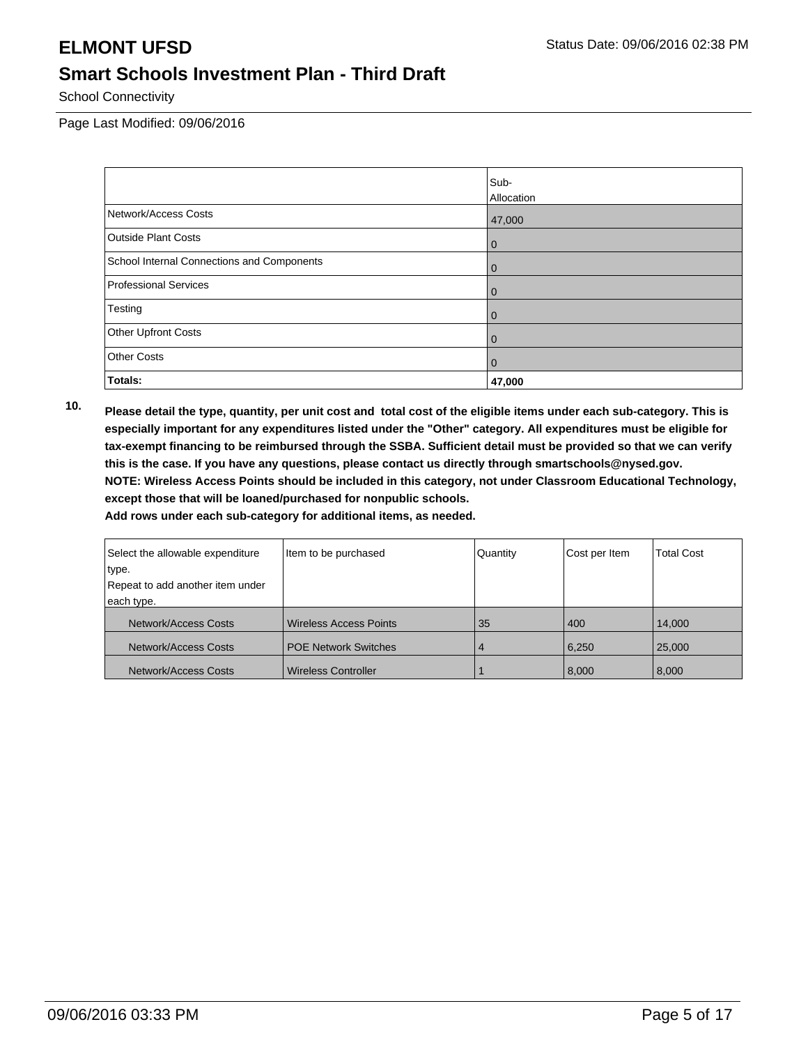School Connectivity

Page Last Modified: 09/06/2016

|                                            | Sub-              |
|--------------------------------------------|-------------------|
|                                            | <b>Allocation</b> |
| Network/Access Costs                       | 47,000            |
| <b>Outside Plant Costs</b>                 | $\overline{0}$    |
| School Internal Connections and Components | $\overline{0}$    |
| Professional Services                      | $\mathbf 0$       |
| Testing                                    | $\overline{0}$    |
| <b>Other Upfront Costs</b>                 | $\overline{0}$    |
| <b>Other Costs</b>                         | $\overline{0}$    |
| Totals:                                    | 47,000            |

**10. Please detail the type, quantity, per unit cost and total cost of the eligible items under each sub-category. This is especially important for any expenditures listed under the "Other" category. All expenditures must be eligible for tax-exempt financing to be reimbursed through the SSBA. Sufficient detail must be provided so that we can verify this is the case. If you have any questions, please contact us directly through smartschools@nysed.gov. NOTE: Wireless Access Points should be included in this category, not under Classroom Educational Technology, except those that will be loaned/purchased for nonpublic schools.**

| Select the allowable expenditure | Item to be purchased          | Quantity | Cost per Item | <b>Total Cost</b> |
|----------------------------------|-------------------------------|----------|---------------|-------------------|
| type.                            |                               |          |               |                   |
| Repeat to add another item under |                               |          |               |                   |
| each type.                       |                               |          |               |                   |
| Network/Access Costs             | <b>Wireless Access Points</b> | 35       | 400           | 14,000            |
| Network/Access Costs             | <b>POE Network Switches</b>   | 4        | 6,250         | 25,000            |
| Network/Access Costs             | <b>Wireless Controller</b>    |          | 8,000         | 8,000             |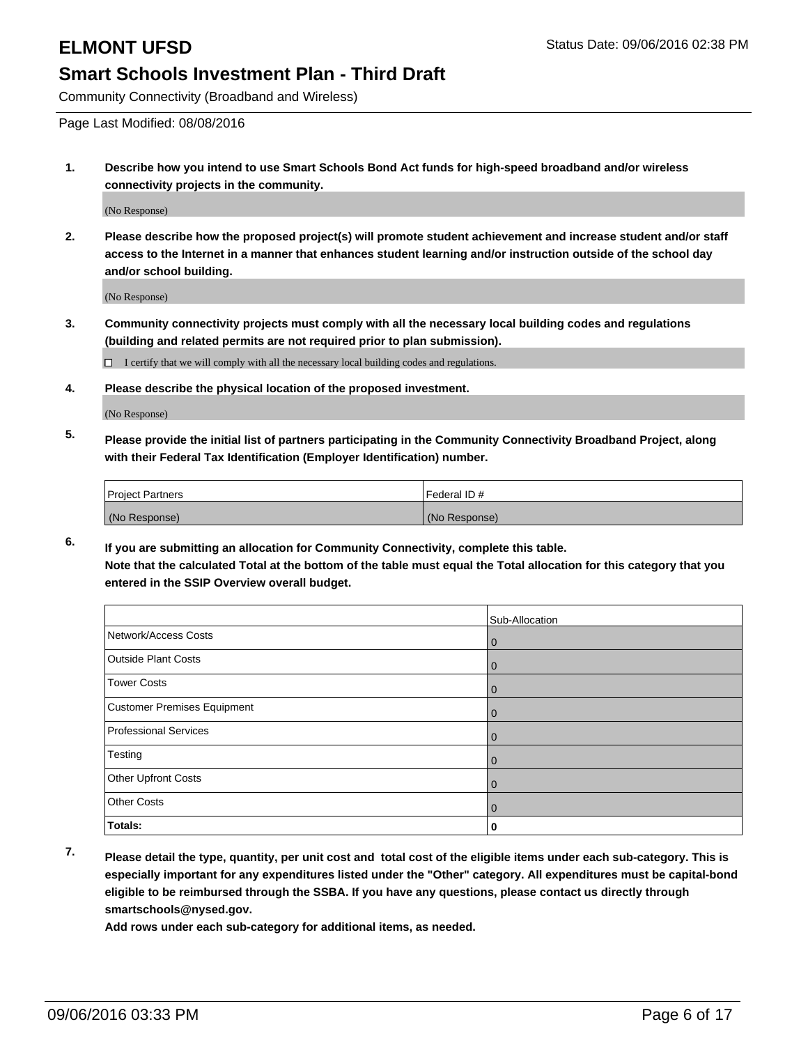Community Connectivity (Broadband and Wireless)

Page Last Modified: 08/08/2016

**1. Describe how you intend to use Smart Schools Bond Act funds for high-speed broadband and/or wireless connectivity projects in the community.**

(No Response)

**2. Please describe how the proposed project(s) will promote student achievement and increase student and/or staff access to the Internet in a manner that enhances student learning and/or instruction outside of the school day and/or school building.**

(No Response)

**3. Community connectivity projects must comply with all the necessary local building codes and regulations (building and related permits are not required prior to plan submission).**

 $\Box$  I certify that we will comply with all the necessary local building codes and regulations.

**4. Please describe the physical location of the proposed investment.**

(No Response)

**5. Please provide the initial list of partners participating in the Community Connectivity Broadband Project, along with their Federal Tax Identification (Employer Identification) number.**

| <b>Project Partners</b> | Federal ID#   |
|-------------------------|---------------|
| (No Response)           | (No Response) |

**6. If you are submitting an allocation for Community Connectivity, complete this table. Note that the calculated Total at the bottom of the table must equal the Total allocation for this category that you entered in the SSIP Overview overall budget.**

|                             | Sub-Allocation |
|-----------------------------|----------------|
| Network/Access Costs        | $\overline{0}$ |
| Outside Plant Costs         | $\overline{0}$ |
| <b>Tower Costs</b>          | $\overline{0}$ |
| Customer Premises Equipment | $\overline{0}$ |
| Professional Services       | $\mathbf 0$    |
| Testing                     | $\mathbf 0$    |
| Other Upfront Costs         | $\overline{0}$ |
| <b>Other Costs</b>          | $\overline{0}$ |
| Totals:                     | 0              |

**7. Please detail the type, quantity, per unit cost and total cost of the eligible items under each sub-category. This is especially important for any expenditures listed under the "Other" category. All expenditures must be capital-bond eligible to be reimbursed through the SSBA. If you have any questions, please contact us directly through smartschools@nysed.gov.**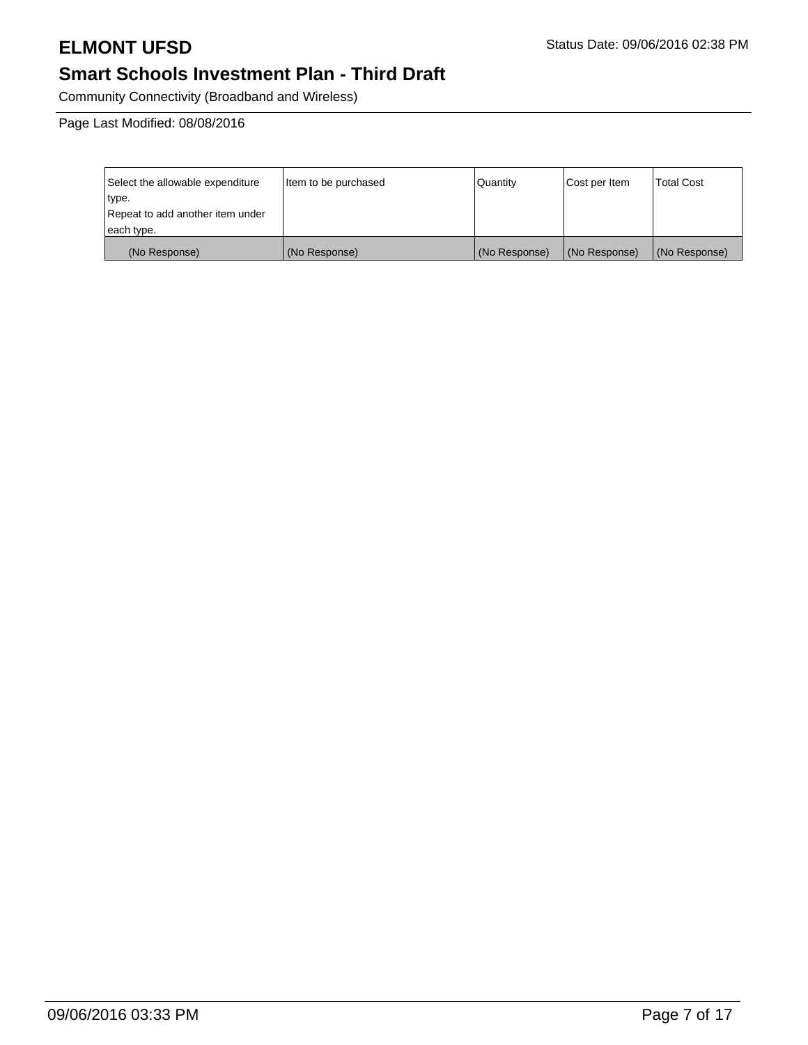Community Connectivity (Broadband and Wireless)

Page Last Modified: 08/08/2016

| Select the allowable expenditure | Item to be purchased | Quantity      | Cost per Item | <b>Total Cost</b> |
|----------------------------------|----------------------|---------------|---------------|-------------------|
| type.                            |                      |               |               |                   |
| Repeat to add another item under |                      |               |               |                   |
| each type.                       |                      |               |               |                   |
| (No Response)                    | (No Response)        | (No Response) | (No Response) | (No Response)     |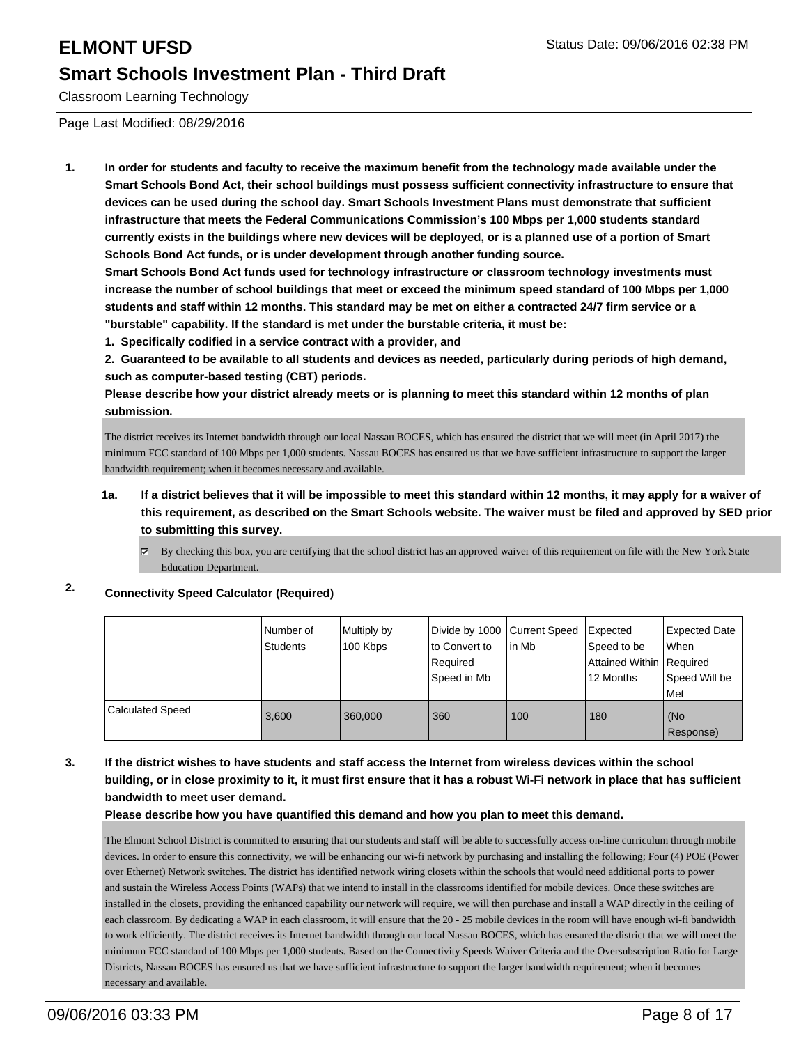Classroom Learning Technology

Page Last Modified: 08/29/2016

**1. In order for students and faculty to receive the maximum benefit from the technology made available under the Smart Schools Bond Act, their school buildings must possess sufficient connectivity infrastructure to ensure that devices can be used during the school day. Smart Schools Investment Plans must demonstrate that sufficient infrastructure that meets the Federal Communications Commission's 100 Mbps per 1,000 students standard currently exists in the buildings where new devices will be deployed, or is a planned use of a portion of Smart Schools Bond Act funds, or is under development through another funding source.**

**Smart Schools Bond Act funds used for technology infrastructure or classroom technology investments must increase the number of school buildings that meet or exceed the minimum speed standard of 100 Mbps per 1,000 students and staff within 12 months. This standard may be met on either a contracted 24/7 firm service or a "burstable" capability. If the standard is met under the burstable criteria, it must be:**

**1. Specifically codified in a service contract with a provider, and**

**2. Guaranteed to be available to all students and devices as needed, particularly during periods of high demand, such as computer-based testing (CBT) periods.**

**Please describe how your district already meets or is planning to meet this standard within 12 months of plan submission.**

The district receives its Internet bandwidth through our local Nassau BOCES, which has ensured the district that we will meet (in April 2017) the minimum FCC standard of 100 Mbps per 1,000 students. Nassau BOCES has ensured us that we have sufficient infrastructure to support the larger bandwidth requirement; when it becomes necessary and available.

- **1a. If a district believes that it will be impossible to meet this standard within 12 months, it may apply for a waiver of this requirement, as described on the Smart Schools website. The waiver must be filed and approved by SED prior to submitting this survey.**
	- By checking this box, you are certifying that the school district has an approved waiver of this requirement on file with the New York State Education Department.

### **2. Connectivity Speed Calculator (Required)**

|                         | INumber of<br>Students | Multiply by<br>100 Kbps | Divide by 1000 Current Speed<br>Ito Convert to<br>Required<br>Speed in Mb | in Mb | Expected<br>Speed to be<br>Attained Within   Required<br>12 Months | Expected Date<br>l When<br>Speed Will be<br>Met |
|-------------------------|------------------------|-------------------------|---------------------------------------------------------------------------|-------|--------------------------------------------------------------------|-------------------------------------------------|
| <b>Calculated Speed</b> | 3.600                  | 360,000                 | 360                                                                       | 100   | 180                                                                | l (No<br>Response)                              |

### **3. If the district wishes to have students and staff access the Internet from wireless devices within the school building, or in close proximity to it, it must first ensure that it has a robust Wi-Fi network in place that has sufficient bandwidth to meet user demand.**

**Please describe how you have quantified this demand and how you plan to meet this demand.**

The Elmont School District is committed to ensuring that our students and staff will be able to successfully access on-line curriculum through mobile devices. In order to ensure this connectivity, we will be enhancing our wi-fi network by purchasing and installing the following; Four (4) POE (Power over Ethernet) Network switches. The district has identified network wiring closets within the schools that would need additional ports to power and sustain the Wireless Access Points (WAPs) that we intend to install in the classrooms identified for mobile devices. Once these switches are installed in the closets, providing the enhanced capability our network will require, we will then purchase and install a WAP directly in the ceiling of each classroom. By dedicating a WAP in each classroom, it will ensure that the 20 - 25 mobile devices in the room will have enough wi-fi bandwidth to work efficiently. The district receives its Internet bandwidth through our local Nassau BOCES, which has ensured the district that we will meet the minimum FCC standard of 100 Mbps per 1,000 students. Based on the Connectivity Speeds Waiver Criteria and the Oversubscription Ratio for Large Districts, Nassau BOCES has ensured us that we have sufficient infrastructure to support the larger bandwidth requirement; when it becomes necessary and available.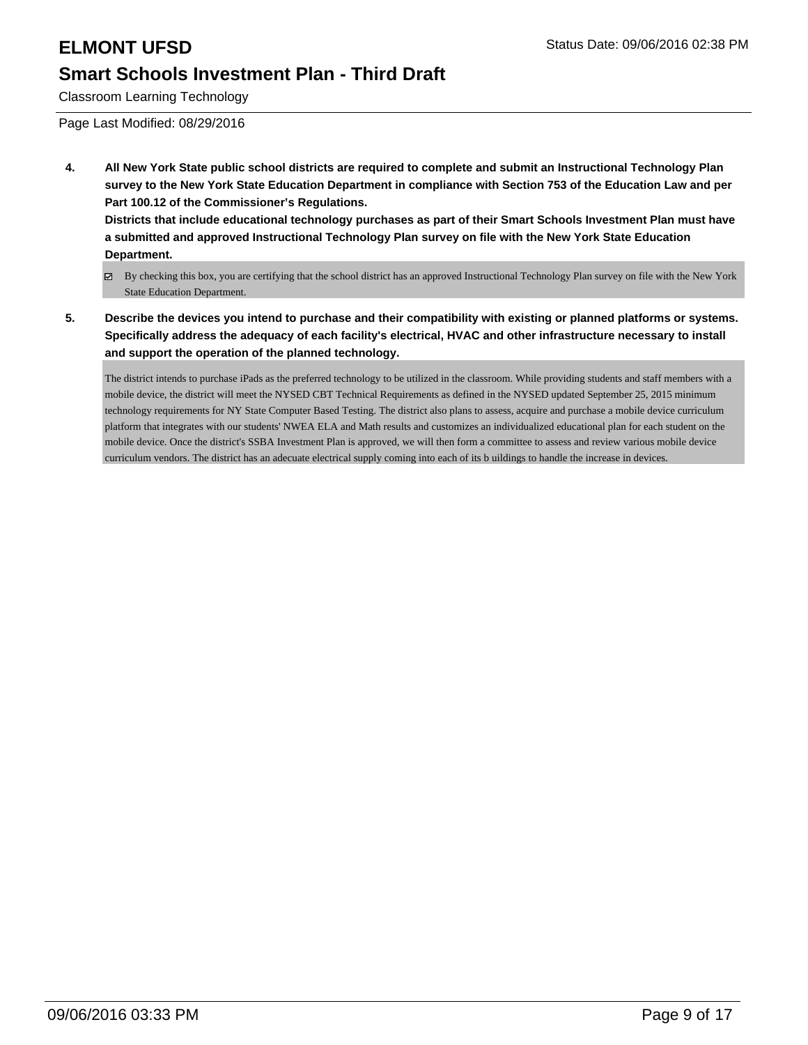Classroom Learning Technology

Page Last Modified: 08/29/2016

**4. All New York State public school districts are required to complete and submit an Instructional Technology Plan survey to the New York State Education Department in compliance with Section 753 of the Education Law and per Part 100.12 of the Commissioner's Regulations.**

**Districts that include educational technology purchases as part of their Smart Schools Investment Plan must have a submitted and approved Instructional Technology Plan survey on file with the New York State Education Department.**

- By checking this box, you are certifying that the school district has an approved Instructional Technology Plan survey on file with the New York State Education Department.
- **5. Describe the devices you intend to purchase and their compatibility with existing or planned platforms or systems. Specifically address the adequacy of each facility's electrical, HVAC and other infrastructure necessary to install and support the operation of the planned technology.**

The district intends to purchase iPads as the preferred technology to be utilized in the classroom. While providing students and staff members with a mobile device, the district will meet the NYSED CBT Technical Requirements as defined in the NYSED updated September 25, 2015 minimum technology requirements for NY State Computer Based Testing. The district also plans to assess, acquire and purchase a mobile device curriculum platform that integrates with our students' NWEA ELA and Math results and customizes an individualized educational plan for each student on the mobile device. Once the district's SSBA Investment Plan is approved, we will then form a committee to assess and review various mobile device curriculum vendors. The district has an adecuate electrical supply coming into each of its b uildings to handle the increase in devices.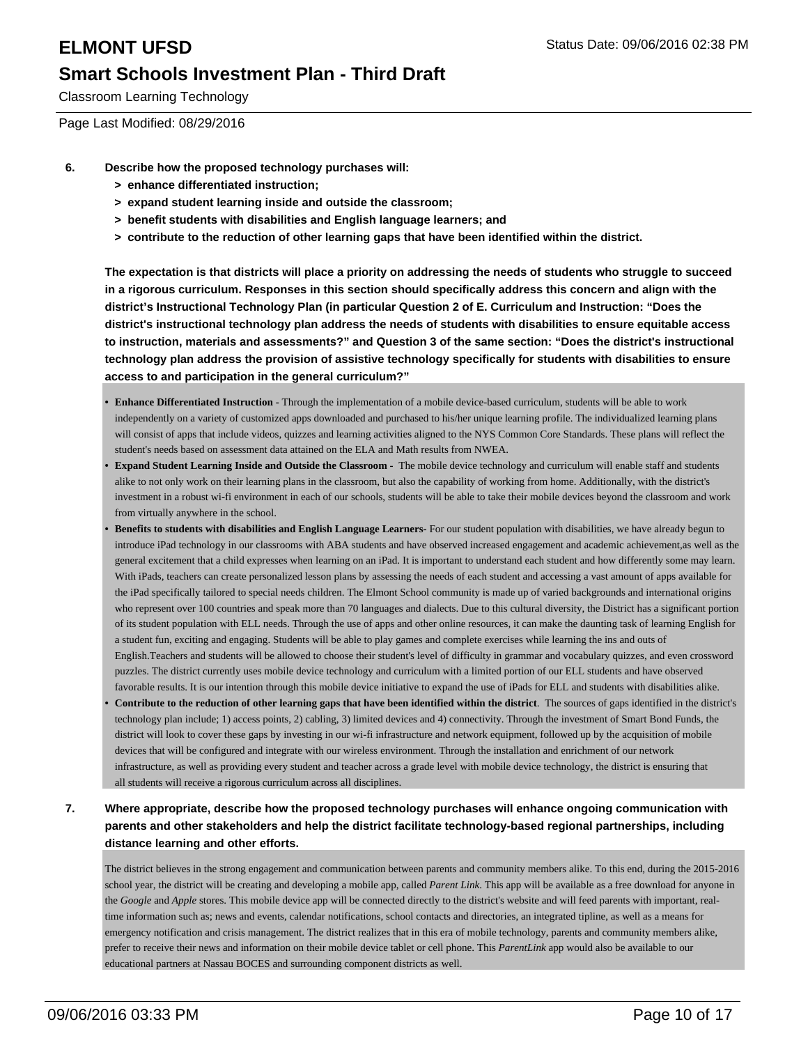Classroom Learning Technology

Page Last Modified: 08/29/2016

- **6. Describe how the proposed technology purchases will:**
	- **> enhance differentiated instruction;**
	- **> expand student learning inside and outside the classroom;**
	- **> benefit students with disabilities and English language learners; and**
	- **> contribute to the reduction of other learning gaps that have been identified within the district.**

**The expectation is that districts will place a priority on addressing the needs of students who struggle to succeed in a rigorous curriculum. Responses in this section should specifically address this concern and align with the district's Instructional Technology Plan (in particular Question 2 of E. Curriculum and Instruction: "Does the district's instructional technology plan address the needs of students with disabilities to ensure equitable access to instruction, materials and assessments?" and Question 3 of the same section: "Does the district's instructional technology plan address the provision of assistive technology specifically for students with disabilities to ensure access to and participation in the general curriculum?"**

- **Enhance Differentiated Instruction -** Through the implementation of a mobile device-based curriculum, students will be able to work independently on a variety of customized apps downloaded and purchased to his/her unique learning profile. The individualized learning plans will consist of apps that include videos, quizzes and learning activities aligned to the NYS Common Core Standards. These plans will reflect the student's needs based on assessment data attained on the ELA and Math results from NWEA. **•**
- **Expand Student Learning Inside and Outside the Classroom** The mobile device technology and curriculum will enable staff and students alike to not only work on their learning plans in the classroom, but also the capability of working from home. Additionally, with the district's investment in a robust wi-fi environment in each of our schools, students will be able to take their mobile devices beyond the classroom and work from virtually anywhere in the school. **•**
- **Benefits to students with disabilities and English Language Learners-** For our student population with disabilities, we have already begun to introduce iPad technology in our classrooms with ABA students and have observed increased engagement and academic achievement,as well as the general excitement that a child expresses when learning on an iPad. It is important to understand each student and how differently some may learn. With iPads, teachers can create personalized lesson plans by assessing the needs of each student and accessing a vast amount of apps available for the iPad specifically tailored to special needs children. The Elmont School community is made up of varied backgrounds and international origins who represent over 100 countries and speak more than 70 languages and dialects. Due to this cultural diversity, the District has a significant portion of its student population with ELL needs. Through the use of apps and other online resources, it can make the daunting task of learning English for a student fun, exciting and engaging. Students will be able to play games and complete exercises while learning the ins and outs of English.Teachers and students will be allowed to choose their student's level of difficulty in grammar and vocabulary quizzes, and even crossword puzzles. The district currently uses mobile device technology and curriculum with a limited portion of our ELL students and have observed favorable results. It is our intention through this mobile device initiative to expand the use of iPads for ELL and students with disabilities alike. **•**
- **Contribute to the reduction of other learning gaps that have been identified within the district**. The sources of gaps identified in the district's technology plan include; 1) access points, 2) cabling, 3) limited devices and 4) connectivity. Through the investment of Smart Bond Funds, the district will look to cover these gaps by investing in our wi-fi infrastructure and network equipment, followed up by the acquisition of mobile devices that will be configured and integrate with our wireless environment. Through the installation and enrichment of our network infrastructure, as well as providing every student and teacher across a grade level with mobile device technology, the district is ensuring that all students will receive a rigorous curriculum across all disciplines. **•**
- **7. Where appropriate, describe how the proposed technology purchases will enhance ongoing communication with parents and other stakeholders and help the district facilitate technology-based regional partnerships, including distance learning and other efforts.**

The district believes in the strong engagement and communication between parents and community members alike. To this end, during the 2015-2016 school year, the district will be creating and developing a mobile app, called *Parent Link*. This app will be available as a free download for anyone in the *Google* and *Apple* stores. This mobile device app will be connected directly to the district's website and will feed parents with important, realtime information such as; news and events, calendar notifications, school contacts and directories, an integrated tipline, as well as a means for emergency notification and crisis management. The district realizes that in this era of mobile technology, parents and community members alike, prefer to receive their news and information on their mobile device tablet or cell phone. This *ParentLink* app would also be available to our educational partners at Nassau BOCES and surrounding component districts as well.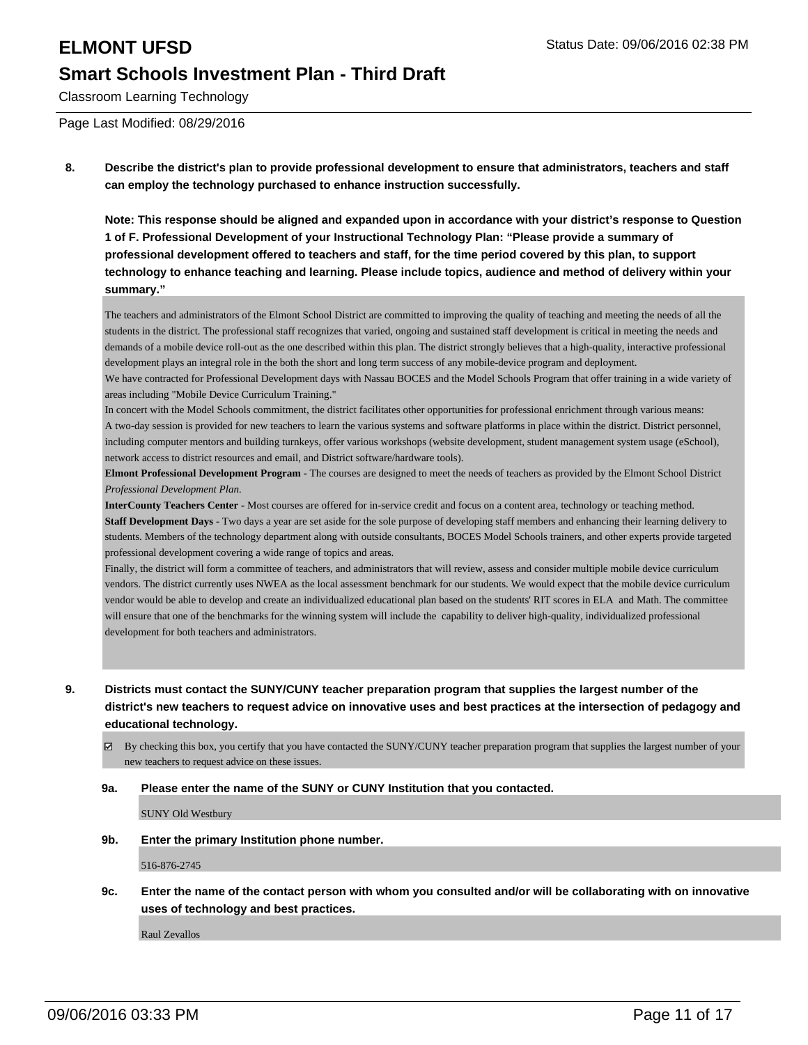Classroom Learning Technology

Page Last Modified: 08/29/2016

**8. Describe the district's plan to provide professional development to ensure that administrators, teachers and staff can employ the technology purchased to enhance instruction successfully.**

**Note: This response should be aligned and expanded upon in accordance with your district's response to Question 1 of F. Professional Development of your Instructional Technology Plan: "Please provide a summary of professional development offered to teachers and staff, for the time period covered by this plan, to support technology to enhance teaching and learning. Please include topics, audience and method of delivery within your summary."**

The teachers and administrators of the Elmont School District are committed to improving the quality of teaching and meeting the needs of all the students in the district. The professional staff recognizes that varied, ongoing and sustained staff development is critical in meeting the needs and demands of a mobile device roll-out as the one described within this plan. The district strongly believes that a high-quality, interactive professional development plays an integral role in the both the short and long term success of any mobile-device program and deployment.

We have contracted for Professional Development days with Nassau BOCES and the Model Schools Program that offer training in a wide variety of areas including "Mobile Device Curriculum Training."

In concert with the Model Schools commitment, the district facilitates other opportunities for professional enrichment through various means: A two-day session is provided for new teachers to learn the various systems and software platforms in place within the district. District personnel, including computer mentors and building turnkeys, offer various workshops (website development, student management system usage (eSchool), network access to district resources and email, and District software/hardware tools).

**Elmont Professional Development Program -** The courses are designed to meet the needs of teachers as provided by the Elmont School District *Professional Development Plan.*

**InterCounty Teachers Center -** Most courses are offered for in-service credit and focus on a content area, technology or teaching method. **Staff Development Days -** Two days a year are set aside for the sole purpose of developing staff members and enhancing their learning delivery to students. Members of the technology department along with outside consultants, BOCES Model Schools trainers, and other experts provide targeted professional development covering a wide range of topics and areas.

Finally, the district will form a committee of teachers, and administrators that will review, assess and consider multiple mobile device curriculum vendors. The district currently uses NWEA as the local assessment benchmark for our students. We would expect that the mobile device curriculum vendor would be able to develop and create an individualized educational plan based on the students' RIT scores in ELA and Math. The committee will ensure that one of the benchmarks for the winning system will include the capability to deliver high-quality, individualized professional development for both teachers and administrators.

- **9. Districts must contact the SUNY/CUNY teacher preparation program that supplies the largest number of the district's new teachers to request advice on innovative uses and best practices at the intersection of pedagogy and educational technology.**
	- By checking this box, you certify that you have contacted the SUNY/CUNY teacher preparation program that supplies the largest number of your new teachers to request advice on these issues.

### **9a. Please enter the name of the SUNY or CUNY Institution that you contacted.**

SUNY Old Westbury

**9b. Enter the primary Institution phone number.**

516-876-2745

**9c. Enter the name of the contact person with whom you consulted and/or will be collaborating with on innovative uses of technology and best practices.**

Raul Zevallos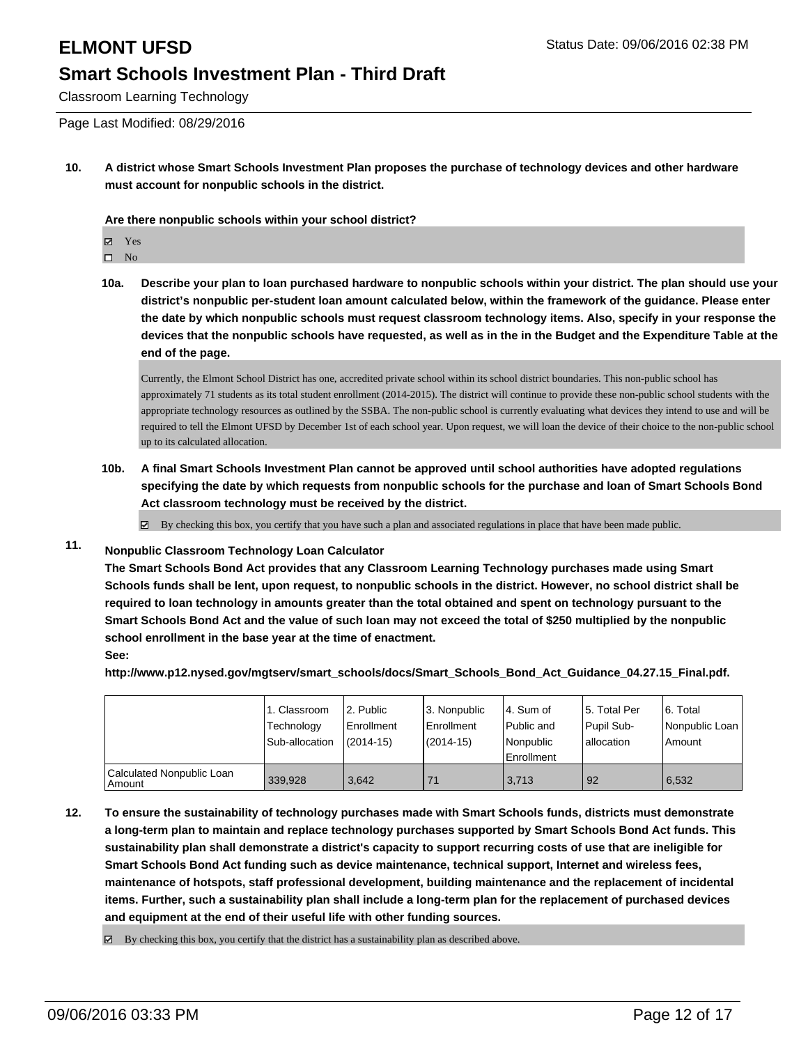Classroom Learning Technology

Page Last Modified: 08/29/2016

**10. A district whose Smart Schools Investment Plan proposes the purchase of technology devices and other hardware must account for nonpublic schools in the district.**

**Are there nonpublic schools within your school district?**

Yes

 $\hfill \square$  No

**10a. Describe your plan to loan purchased hardware to nonpublic schools within your district. The plan should use your district's nonpublic per-student loan amount calculated below, within the framework of the guidance. Please enter the date by which nonpublic schools must request classroom technology items. Also, specify in your response the devices that the nonpublic schools have requested, as well as in the in the Budget and the Expenditure Table at the end of the page.**

Currently, the Elmont School District has one, accredited private school within its school district boundaries. This non-public school has approximately 71 students as its total student enrollment (2014-2015). The district will continue to provide these non-public school students with the appropriate technology resources as outlined by the SSBA. The non-public school is currently evaluating what devices they intend to use and will be required to tell the Elmont UFSD by December 1st of each school year. Upon request, we will loan the device of their choice to the non-public school up to its calculated allocation.

**10b. A final Smart Schools Investment Plan cannot be approved until school authorities have adopted regulations specifying the date by which requests from nonpublic schools for the purchase and loan of Smart Schools Bond Act classroom technology must be received by the district.**

 $\boxtimes$  By checking this box, you certify that you have such a plan and associated regulations in place that have been made public.

### **11. Nonpublic Classroom Technology Loan Calculator**

**The Smart Schools Bond Act provides that any Classroom Learning Technology purchases made using Smart Schools funds shall be lent, upon request, to nonpublic schools in the district. However, no school district shall be required to loan technology in amounts greater than the total obtained and spent on technology pursuant to the Smart Schools Bond Act and the value of such loan may not exceed the total of \$250 multiplied by the nonpublic school enrollment in the base year at the time of enactment. See:**

**http://www.p12.nysed.gov/mgtserv/smart\_schools/docs/Smart\_Schools\_Bond\_Act\_Guidance\_04.27.15\_Final.pdf.**

|                                       | 1. Classroom<br>Technology<br>Sub-allocation | 2. Public<br>Enrollment<br>$(2014 - 15)$ | 3. Nonpublic<br><b>Enrollment</b><br>$(2014 - 15)$ | l 4. Sum of<br>l Public and<br>Nonpublic<br><b>Enrollment</b> | 5. Total Per<br>Pupil Sub-<br>lallocation | 6. Total<br>Nonpublic Loan<br>Amount |
|---------------------------------------|----------------------------------------------|------------------------------------------|----------------------------------------------------|---------------------------------------------------------------|-------------------------------------------|--------------------------------------|
| Calculated Nonpublic Loan<br>  Amount | 339.928                                      | 3.642                                    |                                                    | 3.713                                                         | l 92                                      | 6.532                                |

- **12. To ensure the sustainability of technology purchases made with Smart Schools funds, districts must demonstrate a long-term plan to maintain and replace technology purchases supported by Smart Schools Bond Act funds. This sustainability plan shall demonstrate a district's capacity to support recurring costs of use that are ineligible for Smart Schools Bond Act funding such as device maintenance, technical support, Internet and wireless fees, maintenance of hotspots, staff professional development, building maintenance and the replacement of incidental items. Further, such a sustainability plan shall include a long-term plan for the replacement of purchased devices and equipment at the end of their useful life with other funding sources.**
	- $\boxtimes$  By checking this box, you certify that the district has a sustainability plan as described above.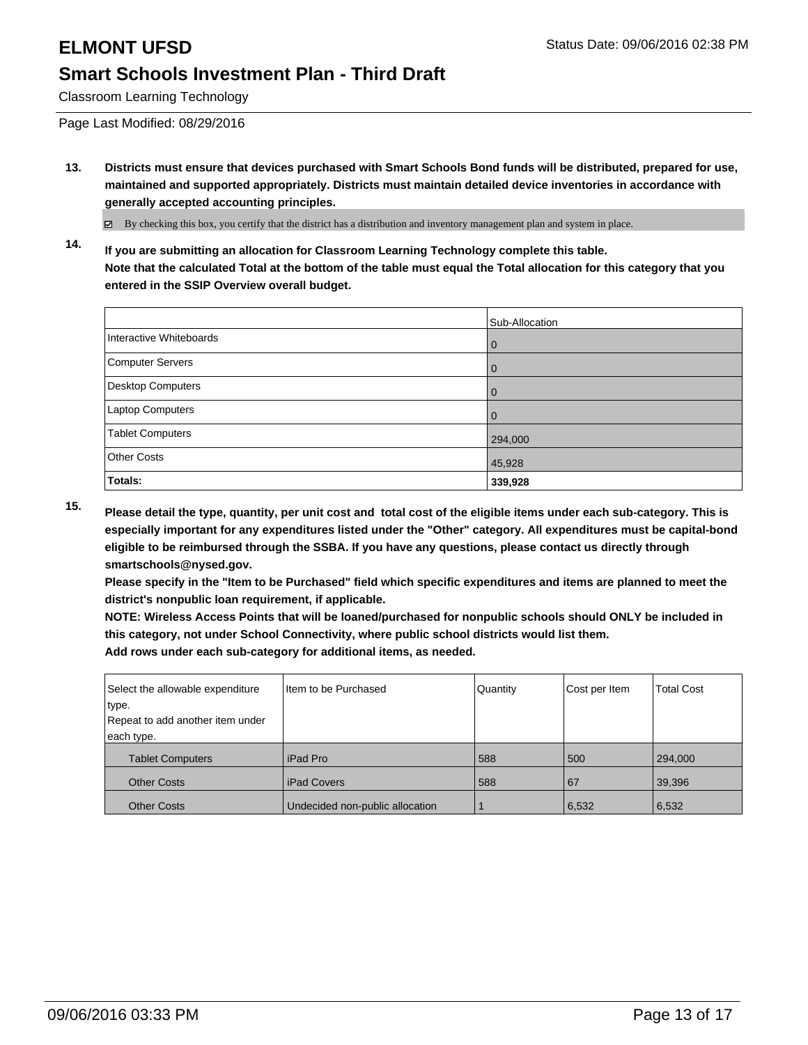Classroom Learning Technology

Page Last Modified: 08/29/2016

**13. Districts must ensure that devices purchased with Smart Schools Bond funds will be distributed, prepared for use, maintained and supported appropriately. Districts must maintain detailed device inventories in accordance with generally accepted accounting principles.**

By checking this box, you certify that the district has a distribution and inventory management plan and system in place.

**14. If you are submitting an allocation for Classroom Learning Technology complete this table. Note that the calculated Total at the bottom of the table must equal the Total allocation for this category that you entered in the SSIP Overview overall budget.**

|                          | Sub-Allocation |
|--------------------------|----------------|
| Interactive Whiteboards  | 0              |
| Computer Servers         | $\Omega$       |
| <b>Desktop Computers</b> | 0              |
| Laptop Computers         | $\Omega$       |
| <b>Tablet Computers</b>  | 294,000        |
| <b>Other Costs</b>       | 45,928         |
| Totals:                  | 339,928        |

**15. Please detail the type, quantity, per unit cost and total cost of the eligible items under each sub-category. This is especially important for any expenditures listed under the "Other" category. All expenditures must be capital-bond eligible to be reimbursed through the SSBA. If you have any questions, please contact us directly through smartschools@nysed.gov.**

**Please specify in the "Item to be Purchased" field which specific expenditures and items are planned to meet the district's nonpublic loan requirement, if applicable.**

**NOTE: Wireless Access Points that will be loaned/purchased for nonpublic schools should ONLY be included in this category, not under School Connectivity, where public school districts would list them.**

| Select the allowable expenditure | Iltem to be Purchased           | Quantity | Cost per Item | <b>Total Cost</b> |
|----------------------------------|---------------------------------|----------|---------------|-------------------|
| type.                            |                                 |          |               |                   |
| Repeat to add another item under |                                 |          |               |                   |
| each type.                       |                                 |          |               |                   |
| <b>Tablet Computers</b>          | l iPad Pro                      | 588      | 500           | 294,000           |
| <b>Other Costs</b>               | l iPad Covers                   | 588      | 67            | 39,396            |
| <b>Other Costs</b>               | Undecided non-public allocation |          | 6,532         | 6,532             |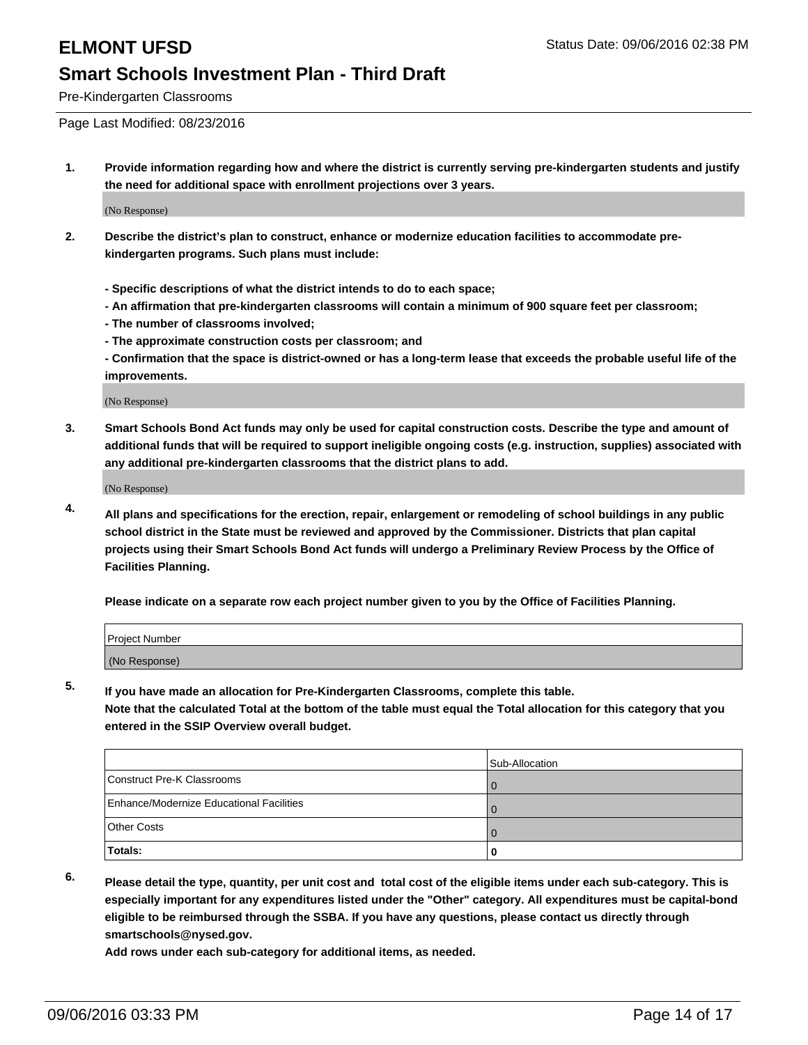Pre-Kindergarten Classrooms

Page Last Modified: 08/23/2016

**1. Provide information regarding how and where the district is currently serving pre-kindergarten students and justify the need for additional space with enrollment projections over 3 years.**

(No Response)

- **2. Describe the district's plan to construct, enhance or modernize education facilities to accommodate prekindergarten programs. Such plans must include:**
	- **Specific descriptions of what the district intends to do to each space;**
	- **An affirmation that pre-kindergarten classrooms will contain a minimum of 900 square feet per classroom;**
	- **The number of classrooms involved;**
	- **The approximate construction costs per classroom; and**
	- **Confirmation that the space is district-owned or has a long-term lease that exceeds the probable useful life of the improvements.**

(No Response)

**3. Smart Schools Bond Act funds may only be used for capital construction costs. Describe the type and amount of additional funds that will be required to support ineligible ongoing costs (e.g. instruction, supplies) associated with any additional pre-kindergarten classrooms that the district plans to add.**

(No Response)

**4. All plans and specifications for the erection, repair, enlargement or remodeling of school buildings in any public school district in the State must be reviewed and approved by the Commissioner. Districts that plan capital projects using their Smart Schools Bond Act funds will undergo a Preliminary Review Process by the Office of Facilities Planning.**

**Please indicate on a separate row each project number given to you by the Office of Facilities Planning.**

| Project Number |  |
|----------------|--|
| (No Response)  |  |

**5. If you have made an allocation for Pre-Kindergarten Classrooms, complete this table.**

**Note that the calculated Total at the bottom of the table must equal the Total allocation for this category that you entered in the SSIP Overview overall budget.**

|                                          | Sub-Allocation |
|------------------------------------------|----------------|
| Construct Pre-K Classrooms               |                |
| Enhance/Modernize Educational Facilities |                |
| Other Costs                              |                |
| Totals:                                  |                |

**6. Please detail the type, quantity, per unit cost and total cost of the eligible items under each sub-category. This is especially important for any expenditures listed under the "Other" category. All expenditures must be capital-bond eligible to be reimbursed through the SSBA. If you have any questions, please contact us directly through smartschools@nysed.gov.**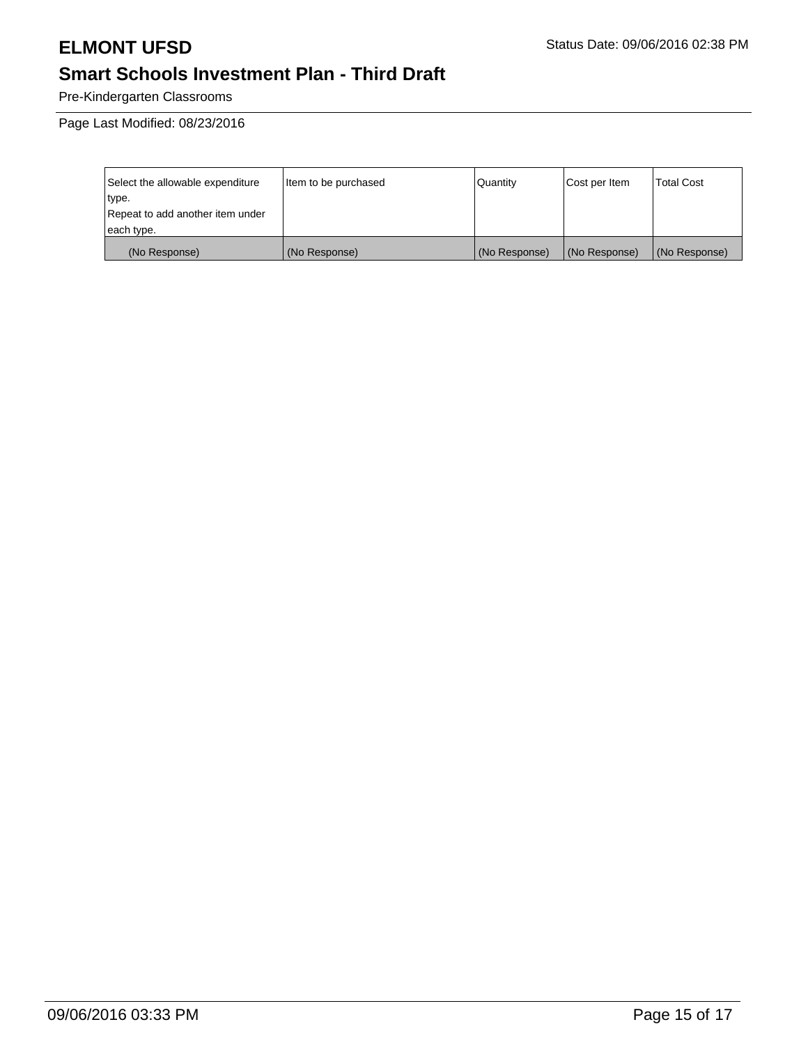Pre-Kindergarten Classrooms

Page Last Modified: 08/23/2016

| Select the allowable expenditure | Item to be purchased | Quantity      | Cost per Item | <b>Total Cost</b> |
|----------------------------------|----------------------|---------------|---------------|-------------------|
| type.                            |                      |               |               |                   |
| Repeat to add another item under |                      |               |               |                   |
| each type.                       |                      |               |               |                   |
| (No Response)                    | (No Response)        | (No Response) | (No Response) | (No Response)     |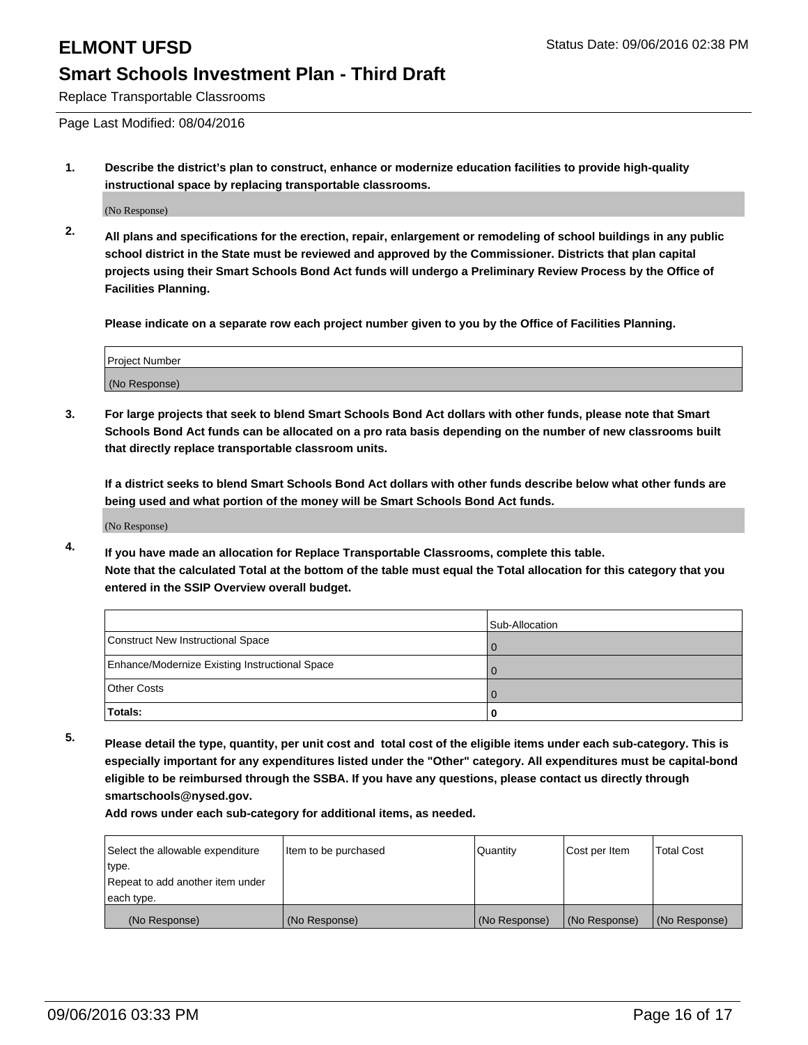Replace Transportable Classrooms

Page Last Modified: 08/04/2016

**1. Describe the district's plan to construct, enhance or modernize education facilities to provide high-quality instructional space by replacing transportable classrooms.**

(No Response)

**2. All plans and specifications for the erection, repair, enlargement or remodeling of school buildings in any public school district in the State must be reviewed and approved by the Commissioner. Districts that plan capital projects using their Smart Schools Bond Act funds will undergo a Preliminary Review Process by the Office of Facilities Planning.**

**Please indicate on a separate row each project number given to you by the Office of Facilities Planning.**

| Project Number |  |
|----------------|--|
| (No Response)  |  |

**3. For large projects that seek to blend Smart Schools Bond Act dollars with other funds, please note that Smart Schools Bond Act funds can be allocated on a pro rata basis depending on the number of new classrooms built that directly replace transportable classroom units.**

**If a district seeks to blend Smart Schools Bond Act dollars with other funds describe below what other funds are being used and what portion of the money will be Smart Schools Bond Act funds.**

(No Response)

**4. If you have made an allocation for Replace Transportable Classrooms, complete this table. Note that the calculated Total at the bottom of the table must equal the Total allocation for this category that you entered in the SSIP Overview overall budget.**

|                                                | Sub-Allocation |
|------------------------------------------------|----------------|
| Construct New Instructional Space              |                |
| Enhance/Modernize Existing Instructional Space |                |
| Other Costs                                    |                |
| Totals:                                        |                |

**5. Please detail the type, quantity, per unit cost and total cost of the eligible items under each sub-category. This is especially important for any expenditures listed under the "Other" category. All expenditures must be capital-bond eligible to be reimbursed through the SSBA. If you have any questions, please contact us directly through smartschools@nysed.gov.**

| Select the allowable expenditure | Item to be purchased | <b>Quantity</b> | Cost per Item | <b>Total Cost</b> |
|----------------------------------|----------------------|-----------------|---------------|-------------------|
| type.                            |                      |                 |               |                   |
| Repeat to add another item under |                      |                 |               |                   |
| each type.                       |                      |                 |               |                   |
| (No Response)                    | (No Response)        | (No Response)   | (No Response) | (No Response)     |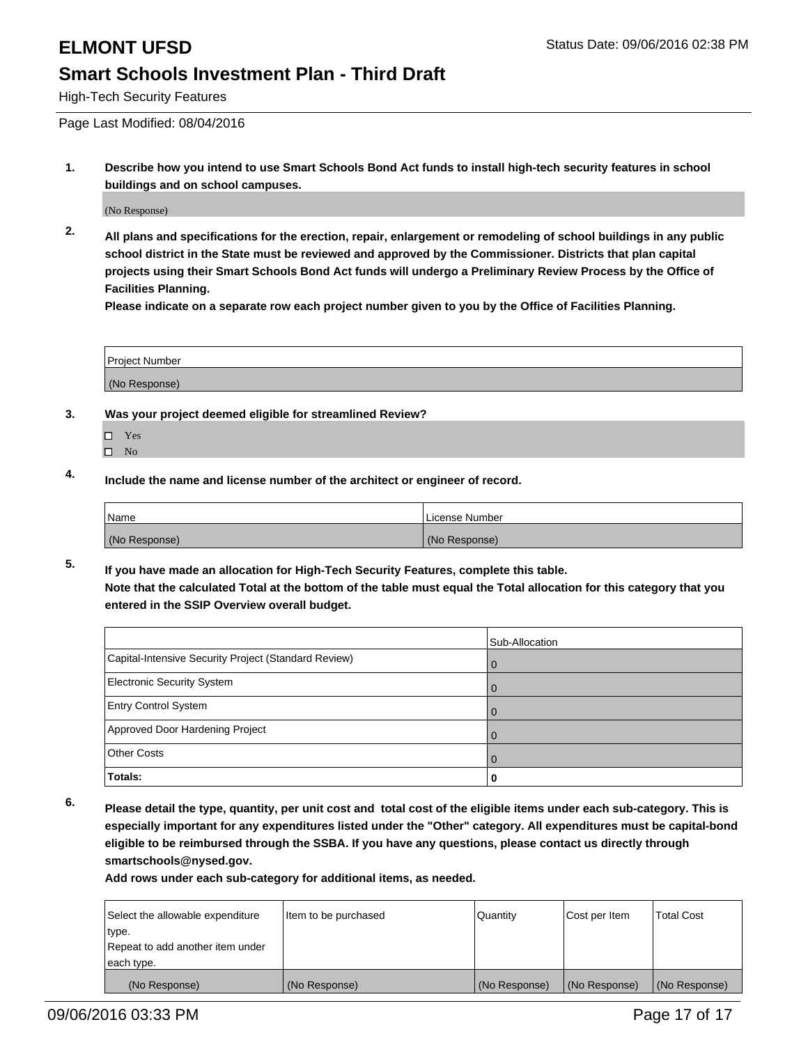High-Tech Security Features

Page Last Modified: 08/04/2016

**1. Describe how you intend to use Smart Schools Bond Act funds to install high-tech security features in school buildings and on school campuses.**

(No Response)

**2. All plans and specifications for the erection, repair, enlargement or remodeling of school buildings in any public school district in the State must be reviewed and approved by the Commissioner. Districts that plan capital projects using their Smart Schools Bond Act funds will undergo a Preliminary Review Process by the Office of Facilities Planning.** 

**Please indicate on a separate row each project number given to you by the Office of Facilities Planning.**

| <b>Project Number</b> |  |  |
|-----------------------|--|--|
|                       |  |  |
| (No Response)         |  |  |

- **3. Was your project deemed eligible for streamlined Review?**
	- □ Yes
	- $\square$  No
- **4. Include the name and license number of the architect or engineer of record.**

| Name          | License Number |
|---------------|----------------|
| (No Response) | (No Response)  |

**5. If you have made an allocation for High-Tech Security Features, complete this table. Note that the calculated Total at the bottom of the table must equal the Total allocation for this category that you entered in the SSIP Overview overall budget.**

|                                                      | Sub-Allocation |
|------------------------------------------------------|----------------|
| Capital-Intensive Security Project (Standard Review) | $\Omega$       |
| <b>Electronic Security System</b>                    | 0              |
| <b>Entry Control System</b>                          |                |
| Approved Door Hardening Project                      | 0              |
| <b>Other Costs</b>                                   |                |
| Totals:                                              | o              |

**6. Please detail the type, quantity, per unit cost and total cost of the eligible items under each sub-category. This is especially important for any expenditures listed under the "Other" category. All expenditures must be capital-bond eligible to be reimbursed through the SSBA. If you have any questions, please contact us directly through smartschools@nysed.gov.**

| Select the allowable expenditure | Item to be purchased | Quantity      | Cost per Item | <b>Total Cost</b> |
|----------------------------------|----------------------|---------------|---------------|-------------------|
| type.                            |                      |               |               |                   |
| Repeat to add another item under |                      |               |               |                   |
| each type.                       |                      |               |               |                   |
| (No Response)                    | (No Response)        | (No Response) | (No Response) | (No Response)     |